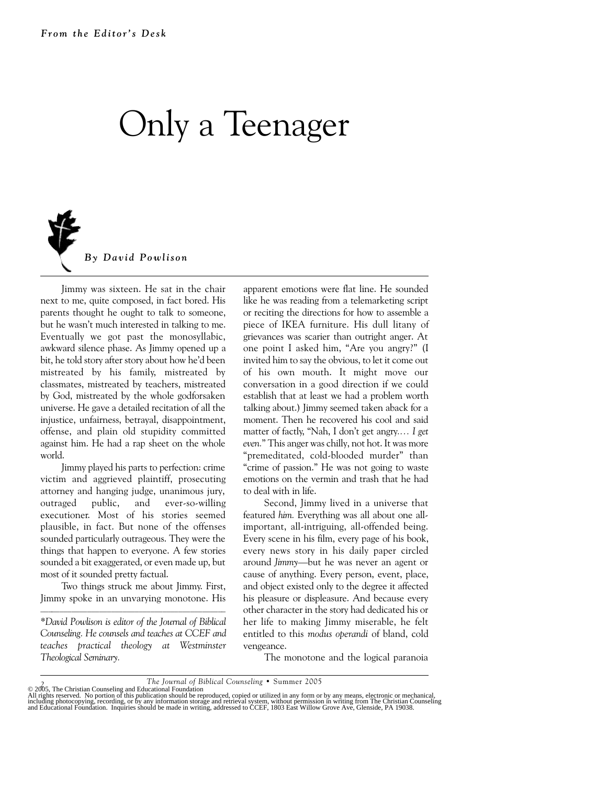## Only a Teenager



Jimmy was sixteen. He sat in the chair next to me, quite composed, in fact bored. His parents thought he ought to talk to someone, but he wasn't much interested in talking to me. Eventually we got past the monosyllabic, awkward silence phase. As Jimmy opened up a bit, he told story after story about how he'd been mistreated by his family, mistreated by classmates, mistreated by teachers, mistreated by God, mistreated by the whole godforsaken universe. He gave a detailed recitation of all the injustice, unfairness, betrayal, disappointment, offense, and plain old stupidity committed against him. He had a rap sheet on the whole world.

Jimmy played his parts to perfection: crime victim and aggrieved plaintiff, prosecuting attorney and hanging judge, unanimous jury, outraged public, and ever-so-willing executioner. Most of his stories seemed plausible, in fact. But none of the offenses sounded particularly outrageous. They were the things that happen to everyone. A few stories sounded a bit exaggerated, or even made up, but most of it sounded pretty factual.

Two things struck me about Jimmy. First, Jimmy spoke in an unvarying monotone. His

*\*David Powlison is editor of the Journal of Biblical Counseling. He counsels and teaches at CCEF and teaches practical theology at Westminster Theological Seminary.* 

apparent emotions were flat line. He sounded like he was reading from a telemarketing script or reciting the directions for how to assemble a piece of IKEA furniture. His dull litany of grievances was scarier than outright anger. At one point I asked him, "Are you angry?" (I invited him to say the obvious, to let it come out of his own mouth. It might move our conversation in a good direction if we could establish that at least we had a problem worth talking about.) Jimmy seemed taken aback for a moment. Then he recovered his cool and said matter of factly, "Nah, I don't get angry*.… I get even.*" This anger was chilly, not hot. It was more "premeditated, cold-blooded murder" than "crime of passion." He was not going to waste emotions on the vermin and trash that he had to deal with in life.

Second, Jimmy lived in a universe that featured *him.* Everything was all about one allimportant, all-intriguing, all-offended being. Every scene in his film, every page of his book, every news story in his daily paper circled around *Jimmy*—but he was never an agent or cause of anything. Every person, event, place, and object existed only to the degree it affected his pleasure or displeasure. And because every other character in the story had dedicated his or her life to making Jimmy miserable, he felt entitled to this *modus operandi* of bland, cold vengeance.

The monotone and the logical paranoia

<sup>7</sup> The Journal of Biblical Counseling • Summer 2005<br>All rights reserved. No portion of this publication should be reproduced, copied or utilized in any form or by any means, electronic or mechanical,<br>All rights reserved. No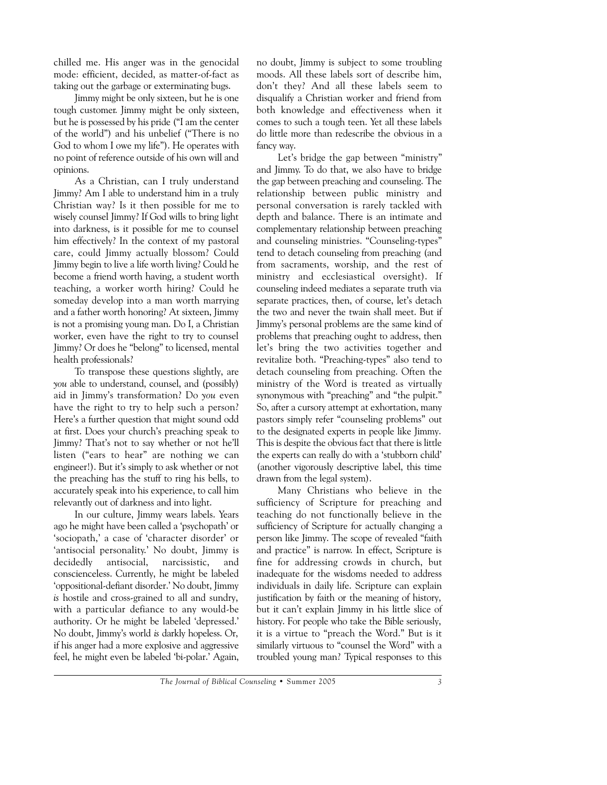chilled me. His anger was in the genocidal mode: efficient, decided, as matter-of-fact as taking out the garbage or exterminating bugs.

Jimmy might be only sixteen, but he is one tough customer. Jimmy might be only sixteen, but he is possessed by his pride ("I am the center of the world") and his unbelief ("There is no God to whom I owe my life"). He operates with no point of reference outside of his own will and opinions.

As a Christian, can I truly understand Jimmy? Am I able to understand him in a truly Christian way? Is it then possible for me to wisely counsel Jimmy? If God wills to bring light into darkness, is it possible for me to counsel him effectively? In the context of my pastoral care, could Jimmy actually blossom? Could Jimmy begin to live a life worth living? Could he become a friend worth having, a student worth teaching, a worker worth hiring? Could he someday develop into a man worth marrying and a father worth honoring? At sixteen, Jimmy is not a promising young man. Do I, a Christian worker, even have the right to try to counsel Jimmy? Or does he "belong" to licensed, mental health professionals?

To transpose these questions slightly, are *you* able to understand, counsel, and (possibly) aid in Jimmy's transformation? Do *you* even have the right to try to help such a person? Here's a further question that might sound odd at first. Does your church's preaching speak to Jimmy? That's not to say whether or not he'll listen ("ears to hear" are nothing we can engineer!). But it's simply to ask whether or not the preaching has the stuff to ring his bells, to accurately speak into his experience, to call him relevantly out of darkness and into light.

In our culture, Jimmy wears labels. Years ago he might have been called a 'psychopath' or 'sociopath,' a case of 'character disorder' or 'antisocial personality.' No doubt, Jimmy is decidedly antisocial, narcissistic, and conscienceless. Currently, he might be labeled 'oppositional-defiant disorder.' No doubt, Jimmy *is* hostile and cross-grained to all and sundry, with a particular defiance to any would-be authority. Or he might be labeled 'depressed.' No doubt, Jimmy's world *is* darkly hopeless. Or, if his anger had a more explosive and aggressive feel, he might even be labeled 'bi-polar.' Again, no doubt, Jimmy is subject to some troubling moods. All these labels sort of describe him, don't they? And all these labels seem to disqualify a Christian worker and friend from both knowledge and effectiveness when it comes to such a tough teen. Yet all these labels do little more than redescribe the obvious in a fancy way.

Let's bridge the gap between "ministry" and Jimmy. To do that, we also have to bridge the gap between preaching and counseling. The relationship between public ministry and personal conversation is rarely tackled with depth and balance. There is an intimate and complementary relationship between preaching and counseling ministries. "Counseling-types" tend to detach counseling from preaching (and from sacraments, worship, and the rest of ministry and ecclesiastical oversight). If counseling indeed mediates a separate truth via separate practices, then, of course, let's detach the two and never the twain shall meet. But if Jimmy's personal problems are the same kind of problems that preaching ought to address, then let's bring the two activities together and revitalize both. "Preaching-types" also tend to detach counseling from preaching. Often the ministry of the Word is treated as virtually synonymous with "preaching" and "the pulpit." So, after a cursory attempt at exhortation, many pastors simply refer "counseling problems" out to the designated experts in people like Jimmy. This is despite the obvious fact that there is little the experts can really do with a 'stubborn child' (another vigorously descriptive label, this time drawn from the legal system).

Many Christians who believe in the sufficiency of Scripture for preaching and teaching do not functionally believe in the sufficiency of Scripture for actually changing a person like Jimmy. The scope of revealed "faith and practice" is narrow. In effect, Scripture is fine for addressing crowds in church, but inadequate for the wisdoms needed to address individuals in daily life. Scripture can explain justification by faith or the meaning of history, but it can't explain Jimmy in his little slice of history. For people who take the Bible seriously, it is a virtue to "preach the Word." But is it similarly virtuous to "counsel the Word" with a troubled young man? Typical responses to this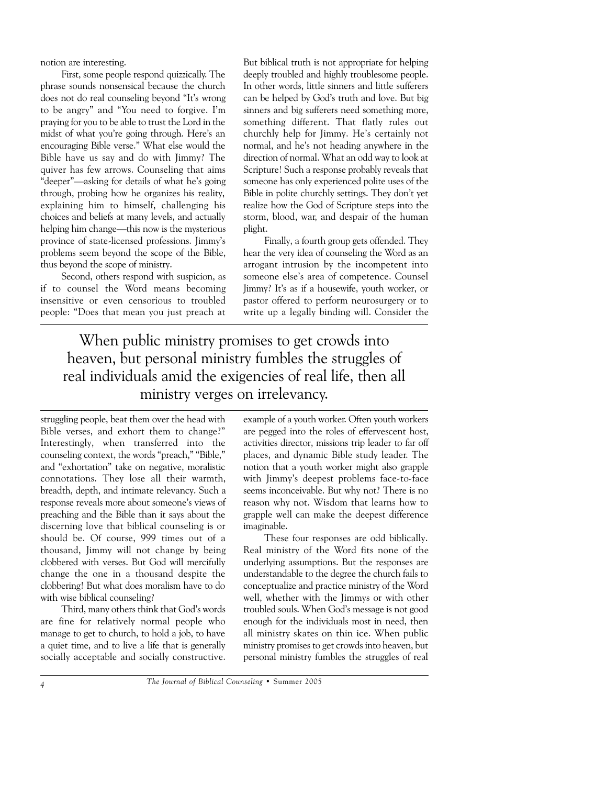notion are interesting.

First, some people respond quizzically. The phrase sounds nonsensical because the church does not do real counseling beyond "It's wrong to be angry" and "You need to forgive. I'm praying for you to be able to trust the Lord in the midst of what you're going through. Here's an encouraging Bible verse." What else would the Bible have us say and do with Jimmy? The quiver has few arrows. Counseling that aims "deeper"—asking for details of what he's going through, probing how he organizes his reality, explaining him to himself, challenging his choices and beliefs at many levels, and actually helping him change—this now is the mysterious province of state-licensed professions. Jimmy's problems seem beyond the scope of the Bible, thus beyond the scope of ministry.

Second, others respond with suspicion, as if to counsel the Word means becoming insensitive or even censorious to troubled people: "Does that mean you just preach at But biblical truth is not appropriate for helping deeply troubled and highly troublesome people. In other words, little sinners and little sufferers can be helped by God's truth and love. But big sinners and big sufferers need something more. something different. That flatly rules out churchly help for Jimmy. He's certainly not normal, and he's not heading anywhere in the direction of normal. What an odd way to look at Scripture! Such a response probably reveals that someone has only experienced polite uses of the Bible in polite churchly settings. They don't yet realize how the God of Scripture steps into the storm, blood, war, and despair of the human plight.

Finally, a fourth group gets offended. They hear the very idea of counseling the Word as an arrogant intrusion by the incompetent into someone else's area of competence. Counsel Jimmy? It's as if a housewife, youth worker, or pastor offered to perform neurosurgery or to write up a legally binding will. Consider the

When public ministry promises to get crowds into heaven, but personal ministry fumbles the struggles of real individuals amid the exigencies of real life, then all ministry verges on irrelevancy.

struggling people, beat them over the head with Bible verses, and exhort them to change?" Interestingly, when transferred into the counseling context, the words "preach," "Bible," and "exhortation" take on negative, moralistic connotations. They lose all their warmth, breadth, depth, and intimate relevancy. Such a response reveals more about someone's views of preaching and the Bible than it says about the discerning love that biblical counseling is or should be. Of course, 999 times out of a thousand, Jimmy will not change by being clobbered with verses. But God will mercifully change the one in a thousand despite the clobbering! But what does moralism have to do with wise biblical counseling?

Third, many others think that God's words are fine for relatively normal people who manage to get to church, to hold a job, to have a quiet time, and to live a life that is generally socially acceptable and socially constructive. example of a youth worker. Often youth workers are pegged into the roles of effervescent host, activities director, missions trip leader to far off places, and dynamic Bible study leader. The notion that a youth worker might also grapple with Jimmy's deepest problems face-to-face seems inconceivable. But why not? There is no reason why not. Wisdom that learns how to grapple well can make the deepest difference imaginable.

These four responses are odd biblically. Real ministry of the Word fits none of the underlying assumptions. But the responses are understandable to the degree the church fails to conceptualize and practice ministry of the Word well, whether with the Jimmys or with other troubled souls. When God's message is not good enough for the individuals most in need, then all ministry skates on thin ice. When public ministry promises to get crowds into heaven, but personal ministry fumbles the struggles of real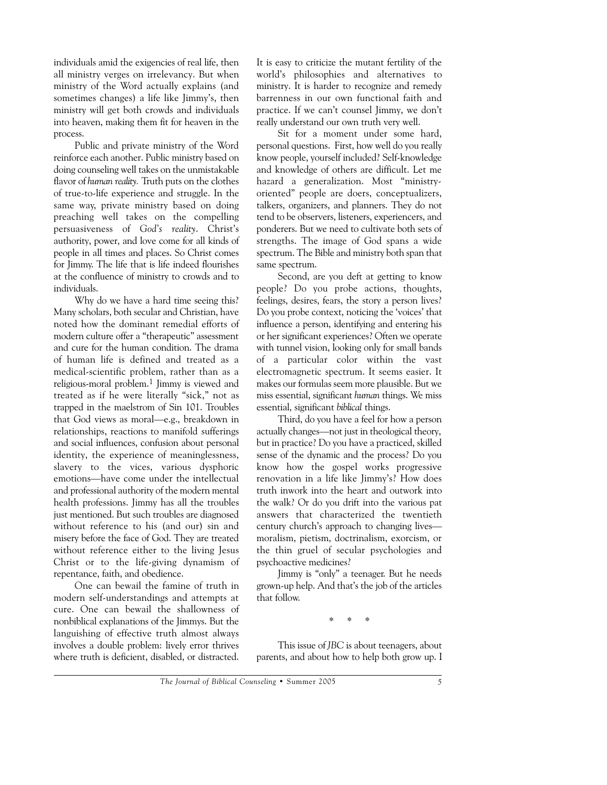individuals amid the exigencies of real life, then all ministry verges on irrelevancy. But when ministry of the Word actually explains (and sometimes changes) a life like Jimmy's, then ministry will get both crowds and individuals into heaven, making them fit for heaven in the process.

Public and private ministry of the Word reinforce each another. Public ministry based on doing counseling well takes on the unmistakable flavor of *human reality.* Truth puts on the clothes of true-to-life experience and struggle. In the same way, private ministry based on doing preaching well takes on the compelling persuasiveness of *God's reality*. Christ's authority, power, and love come for all kinds of people in all times and places. So Christ comes for Jimmy. The life that is life indeed flourishes at the confluence of ministry to crowds and to individuals.

Why do we have a hard time seeing this? Many scholars, both secular and Christian, have noted how the dominant remedial efforts of modern culture offer a "therapeutic" assessment and cure for the human condition. The drama of human life is defined and treated as a medical-scientific problem, rather than as a religious-moral problem.1 Jimmy is viewed and treated as if he were literally "sick," not as trapped in the maelstrom of Sin 101. Troubles that God views as moral—e.g., breakdown in relationships, reactions to manifold sufferings and social influences, confusion about personal identity, the experience of meaninglessness, slavery to the vices, various dysphoric emotions—have come under the intellectual and professional authority of the modern mental health professions. Jimmy has all the troubles just mentioned. But such troubles are diagnosed without reference to his (and our) sin and misery before the face of God. They are treated without reference either to the living Jesus Christ or to the life-giving dynamism of repentance, faith, and obedience.

One can bewail the famine of truth in modern self-understandings and attempts at cure. One can bewail the shallowness of nonbiblical explanations of the Jimmys. But the languishing of effective truth almost always involves a double problem: lively error thrives where truth is deficient, disabled, or distracted.

It is easy to criticize the mutant fertility of the world's philosophies and alternatives to ministry. It is harder to recognize and remedy barrenness in our own functional faith and practice. If we can't counsel Jimmy, we don't really understand our own truth very well.

Sit for a moment under some hard, personal questions. First, how well do you really know people, yourself included? Self-knowledge and knowledge of others are difficult. Let me hazard a generalization. Most "ministryoriented" people are doers, conceptualizers, talkers, organizers, and planners. They do not tend to be observers, listeners, experiencers, and ponderers. But we need to cultivate both sets of strengths. The image of God spans a wide spectrum. The Bible and ministry both span that same spectrum.

Second, are you deft at getting to know people? Do you probe actions, thoughts, feelings, desires, fears, the story a person lives? Do you probe context, noticing the 'voices' that influence a person, identifying and entering his or her significant experiences? Often we operate with tunnel vision, looking only for small bands of a particular color within the vast electromagnetic spectrum. It seems easier. It makes our formulas seem more plausible. But we miss essential, significant *human* things. We miss essential, significant *biblical* things.

Third, do you have a feel for how a person actually changes—not just in theological theory, but in practice? Do you have a practiced, skilled sense of the dynamic and the process? Do you know how the gospel works progressive renovation in a life like Jimmy's? How does truth inwork into the heart and outwork into the walk? Or do you drift into the various pat answers that characterized the twentieth century church's approach to changing lives moralism, pietism, doctrinalism, exorcism, or the thin gruel of secular psychologies and psychoactive medicines?

Jimmy is "only" a teenager. But he needs grown-up help. And that's the job of the articles that follow.

\* \* \*

This issue of *JBC* is about teenagers, about parents, and about how to help both grow up. I